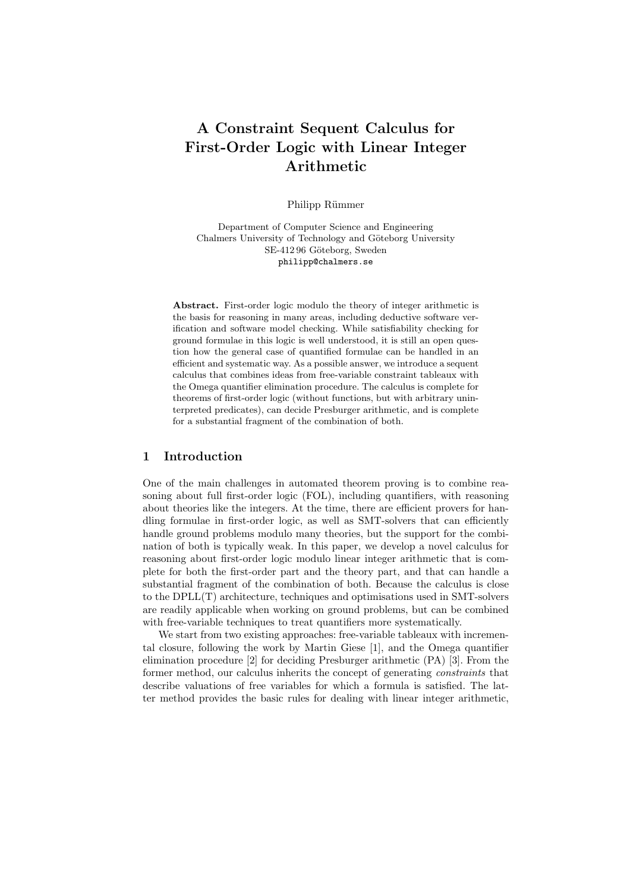# A Constraint Sequent Calculus for First-Order Logic with Linear Integer Arithmetic

Philipp Rümmer

Department of Computer Science and Engineering Chalmers University of Technology and Göteborg University SE-412 96 Göteborg, Sweden philipp@chalmers.se

Abstract. First-order logic modulo the theory of integer arithmetic is the basis for reasoning in many areas, including deductive software verification and software model checking. While satisfiability checking for ground formulae in this logic is well understood, it is still an open question how the general case of quantified formulae can be handled in an efficient and systematic way. As a possible answer, we introduce a sequent calculus that combines ideas from free-variable constraint tableaux with the Omega quantifier elimination procedure. The calculus is complete for theorems of first-order logic (without functions, but with arbitrary uninterpreted predicates), can decide Presburger arithmetic, and is complete for a substantial fragment of the combination of both.

#### 1 Introduction

One of the main challenges in automated theorem proving is to combine reasoning about full first-order logic (FOL), including quantifiers, with reasoning about theories like the integers. At the time, there are efficient provers for handling formulae in first-order logic, as well as SMT-solvers that can efficiently handle ground problems modulo many theories, but the support for the combination of both is typically weak. In this paper, we develop a novel calculus for reasoning about first-order logic modulo linear integer arithmetic that is complete for both the first-order part and the theory part, and that can handle a substantial fragment of the combination of both. Because the calculus is close to the DPLL(T) architecture, techniques and optimisations used in SMT-solvers are readily applicable when working on ground problems, but can be combined with free-variable techniques to treat quantifiers more systematically.

We start from two existing approaches: free-variable tableaux with incremental closure, following the work by Martin Giese [1], and the Omega quantifier elimination procedure [2] for deciding Presburger arithmetic (PA) [3]. From the former method, our calculus inherits the concept of generating constraints that describe valuations of free variables for which a formula is satisfied. The latter method provides the basic rules for dealing with linear integer arithmetic,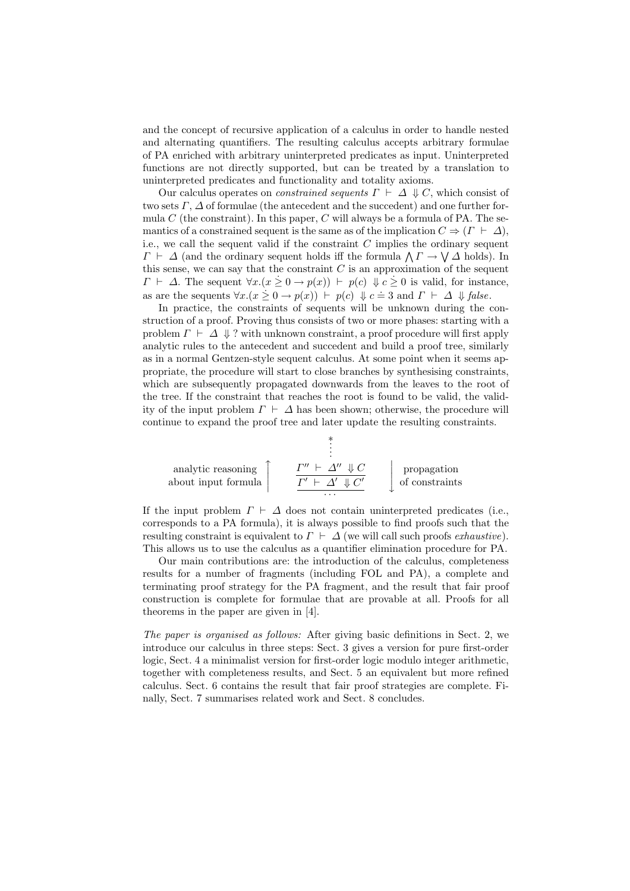and the concept of recursive application of a calculus in order to handle nested and alternating quantifiers. The resulting calculus accepts arbitrary formulae of PA enriched with arbitrary uninterpreted predicates as input. Uninterpreted functions are not directly supported, but can be treated by a translation to uninterpreted predicates and functionality and totality axioms.

Our calculus operates on *constrained sequents*  $\Gamma \vdash \Delta \Downarrow C$ , which consist of two sets  $\Gamma$ ,  $\Delta$  of formulae (the antecedent and the succedent) and one further formula  $C$  (the constraint). In this paper,  $C$  will always be a formula of PA. The semantics of a constrained sequent is the same as of the implication  $C \Rightarrow (\Gamma \vdash \Delta)$ , i.e., we call the sequent valid if the constraint  $C$  implies the ordinary sequent The sequent value of the constraint  $\mathcal{C}$  implies the ordinary sequent  $\Gamma \vdash \Delta$  (and the ordinary sequent holds iff the formula  $\Lambda \Gamma \rightarrow \mathcal{V} \Delta$  holds). In this sense, we can say that the constraint  $C$  is an approximation of the sequent  $\Gamma \vdash \Delta$ . The sequent  $\forall x.(x \geq 0 \rightarrow p(x)) \vdash p(c) \Downarrow c \geq 0$  is valid, for instance, as are the sequents  $\forall x.(x \geq 0 \rightarrow p(x)) \vdash p(c) \Downarrow c = 3$  and  $\Gamma \vdash \Delta \Downarrow false$ .

In practice, the constraints of sequents will be unknown during the construction of a proof. Proving thus consists of two or more phases: starting with a problem  $\Gamma \vdash \Delta \Downarrow ?$  with unknown constraint, a proof procedure will first apply analytic rules to the antecedent and succedent and build a proof tree, similarly as in a normal Gentzen-style sequent calculus. At some point when it seems appropriate, the procedure will start to close branches by synthesising constraints, which are subsequently propagated downwards from the leaves to the root of the tree. If the constraint that reaches the root is found to be valid, the validity of the input problem  $\Gamma \vdash \Delta$  has been shown; otherwise, the procedure will continue to expand the proof tree and later update the resulting constraints.

$$
\begin{array}{c}\n\vdots \\
\text{analytic reasoning} \\
\text{about input formula}\n\end{array}\n\qquad\n\begin{array}{c}\n\vdots \\
\frac{\Gamma'' \vdash \Delta'' \Downarrow C}{\Gamma' \vdash \Delta' \Downarrow C'} \\
\ldots \\
\end{array}\n\qquad\n\begin{array}{c}\n\text{propagation} \\
\text{of constraints}\n\end{array}
$$

If the input problem  $\Gamma \vdash \Delta$  does not contain uninterpreted predicates (i.e., corresponds to a PA formula), it is always possible to find proofs such that the resulting constraint is equivalent to  $\Gamma \vdash \Delta$  (we will call such proofs exhaustive). This allows us to use the calculus as a quantifier elimination procedure for PA.

Our main contributions are: the introduction of the calculus, completeness results for a number of fragments (including FOL and PA), a complete and terminating proof strategy for the PA fragment, and the result that fair proof construction is complete for formulae that are provable at all. Proofs for all theorems in the paper are given in [4].

The paper is organised as follows: After giving basic definitions in Sect. 2, we introduce our calculus in three steps: Sect. 3 gives a version for pure first-order logic, Sect. 4 a minimalist version for first-order logic modulo integer arithmetic, together with completeness results, and Sect. 5 an equivalent but more refined calculus. Sect. 6 contains the result that fair proof strategies are complete. Finally, Sect. 7 summarises related work and Sect. 8 concludes.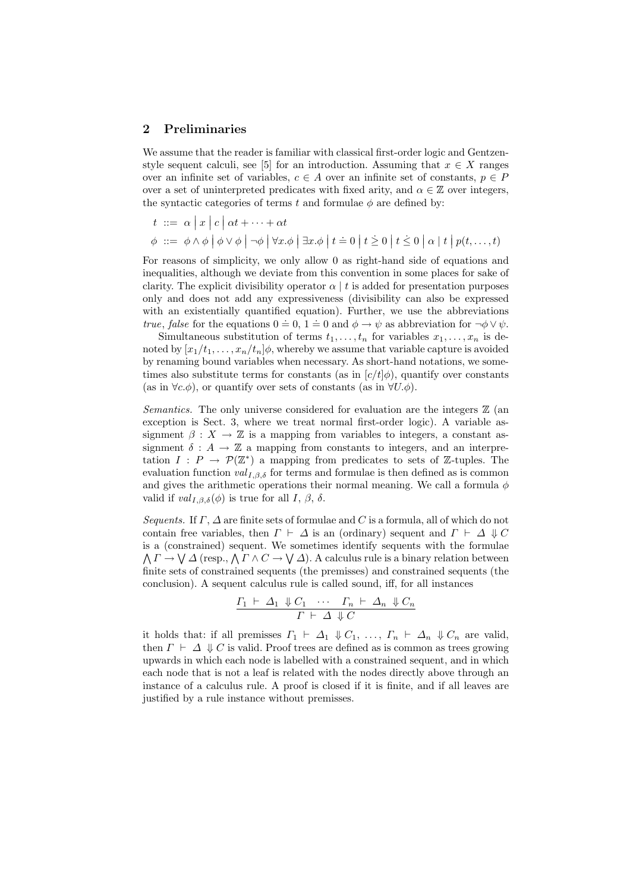#### 2 Preliminaries

We assume that the reader is familiar with classical first-order logic and Gentzenstyle sequent calculi, see [5] for an introduction. Assuming that  $x \in X$  ranges over an infinite set of variables,  $c \in A$  over an infinite set of constants,  $p \in P$ over a set of uninterpreted predicates with fixed arity, and  $\alpha \in \mathbb{Z}$  over integers, the syntactic categories of terms t and formulae  $\phi$  are defined by:

$$
t \ ::= \ \alpha \mid x \mid c \mid \alpha t + \cdots + \alpha t
$$

 $\phi$  ::=  $\phi \wedge \phi \circ \phi \circ \phi \circ \phi \circ \phi$   $\forall x.\phi \circ \exists x.\phi \circ \phi \circ \phi \circ \phi \circ \phi \circ \phi$ 

For reasons of simplicity, we only allow 0 as right-hand side of equations and inequalities, although we deviate from this convention in some places for sake of clarity. The explicit divisibility operator  $\alpha \mid t$  is added for presentation purposes only and does not add any expressiveness (divisibility can also be expressed with an existentially quantified equation). Further, we use the abbreviations true, false for the equations  $0 = 0, 1 = 0$  and  $\phi \rightarrow \psi$  as abbreviation for  $\neg \phi \vee \psi$ .

Simultaneous substitution of terms  $t_1, \ldots, t_n$  for variables  $x_1, \ldots, x_n$  is denoted by  $[x_1/t_1, \ldots, x_n/t_n]\phi$ , whereby we assume that variable capture is avoided by renaming bound variables when necessary. As short-hand notations, we sometimes also substitute terms for constants (as in  $[c/t]\phi$ ), quantify over constants (as in  $\forall c.\phi$ ), or quantify over sets of constants (as in  $\forall U.\phi$ ).

Semantics. The only universe considered for evaluation are the integers  $\mathbb Z$  (an exception is Sect. 3, where we treat normal first-order logic). A variable assignment  $\beta: X \to \mathbb{Z}$  is a mapping from variables to integers, a constant assignment  $\delta: A \to \mathbb{Z}$  a mapping from constants to integers, and an interpretation  $I: P \to \mathcal{P}(\mathbb{Z}^*)$  a mapping from predicates to sets of  $\mathbb{Z}$ -tuples. The evaluation function  $val_{I,\beta,\delta}$  for terms and formulae is then defined as is common and gives the arithmetic operations their normal meaning. We call a formula  $\phi$ valid if  $val_{I,\beta,\delta}(\phi)$  is true for all  $I, \beta, \delta$ .

Sequents. If  $\Gamma$ ,  $\Delta$  are finite sets of formulae and C is a formula, all of which do not contain free variables, then  $\Gamma \vdash \Delta$  is an (ordinary) sequent and  $\Gamma \vdash \Delta \Downarrow C$ is a (constrained) sequent. We sometimes identify sequents with the formulae a (constrained) sequent. We sometimes identity sequents with the formulae  $\Gamma \to \bigvee \Delta$  (resp.,  $\bigwedge \Gamma \wedge C \to \bigvee \Delta$ ). A calculus rule is a binary relation between finite sets of constrained sequents (the premisses) and constrained sequents (the conclusion). A sequent calculus rule is called sound, iff, for all instances

$$
\frac{\Gamma_1 \vdash \Delta_1 \Downarrow C_1 \cdots \Gamma_n \vdash \Delta_n \Downarrow C_n}{\Gamma \vdash \Delta \Downarrow C}
$$

it holds that: if all premisses  $\Gamma_1 \vdash \Delta_1 \Downarrow C_1, \ldots, \Gamma_n \vdash \Delta_n \Downarrow C_n$  are valid, then  $\Gamma \vdash \Delta \Downarrow C$  is valid. Proof trees are defined as is common as trees growing upwards in which each node is labelled with a constrained sequent, and in which each node that is not a leaf is related with the nodes directly above through an instance of a calculus rule. A proof is closed if it is finite, and if all leaves are justified by a rule instance without premisses.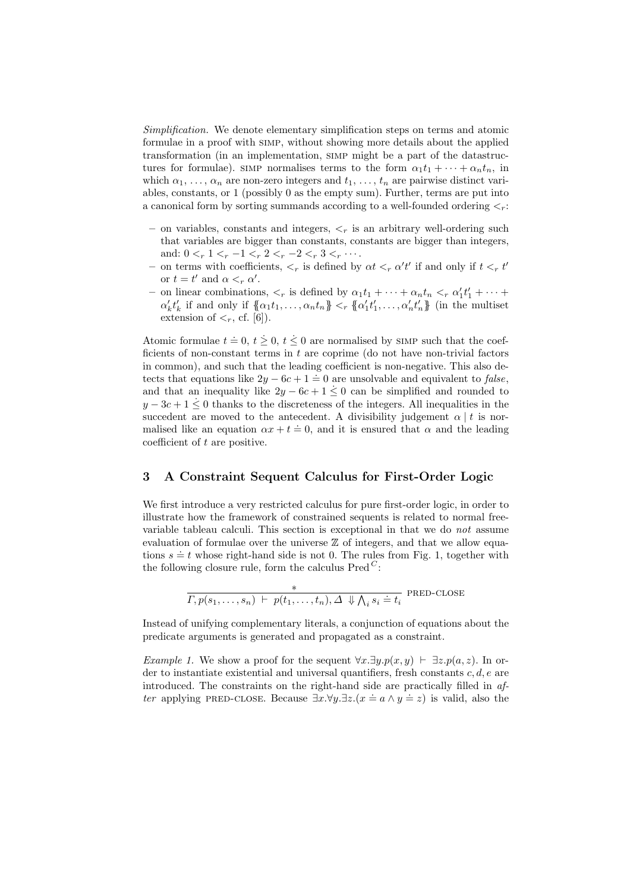Simplification. We denote elementary simplification steps on terms and atomic formulae in a proof with simp, without showing more details about the applied transformation (in an implementation, simp might be a part of the datastructures for formulae). SIMP normalises terms to the form  $\alpha_1 t_1 + \cdots + \alpha_n t_n$ , in which  $\alpha_1, \ldots, \alpha_n$  are non-zero integers and  $t_1, \ldots, t_n$  are pairwise distinct variables, constants, or 1 (possibly 0 as the empty sum). Further, terms are put into a canonical form by sorting summands according to a well-founded ordering  $\lt_r$ :

- on variables, constants and integers,  $\lt_r$  is an arbitrary well-ordering such that variables are bigger than constants, constants are bigger than integers, and:  $0 < r < 1 < r < 1 < r < 2 < r < -2 < r < 3 < r \cdots$ .
- on terms with coefficients,  $\lt_r$  is defined by  $\alpha t \lt_r \alpha' t'$  if and only if  $t \lt_r t'$ or  $t = t'$  and  $\alpha <_{r} \alpha'$ .
- on linear combinations,  $\langle r \rangle$  is defined by  $\alpha_1 t_1 + \cdots + \alpha_n t_n \langle r \rangle \alpha'_1 t'_1 + \cdots$  $\alpha'_k t'_k$  if and only if  $\{\!\!\{\alpha_1 t_1, \ldots, \alpha_n t_n\}\!\!\} <_{r} \{\!\!\{\alpha'_1 t'_1, \ldots, \alpha'_n t'_n\}\!\!\}$  (in the multiset extension of  $\lt_r$ , cf. [6]).

Atomic formulae  $t = 0, t \geq 0, t \leq 0$  are normalised by SIMP such that the coefficients of non-constant terms in  $t$  are coprime (do not have non-trivial factors in common), and such that the leading coefficient is non-negative. This also detects that equations like  $2y - 6c + 1 = 0$  are unsolvable and equivalent to *false*, and that an inequality like  $2y - 6c + 1 \leq 0$  can be simplified and rounded to  $y - 3c + 1 \leq 0$  thanks to the discreteness of the integers. All inequalities in the succedent are moved to the antecedent. A divisibility judgement  $\alpha | t$  is normalised like an equation  $\alpha x + t = 0$ , and it is ensured that  $\alpha$  and the leading coefficient of t are positive.

### 3 A Constraint Sequent Calculus for First-Order Logic

We first introduce a very restricted calculus for pure first-order logic, in order to illustrate how the framework of constrained sequents is related to normal freevariable tableau calculi. This section is exceptional in that we do not assume evaluation of formulae over the universe  $\mathbb Z$  of integers, and that we allow equations  $s \doteq t$  whose right-hand side is not 0. The rules from Fig. 1, together with the following closure rule, form the calculus  $Pred^C$ :

$$
\frac{*}{\Gamma, p(s_1, \ldots, s_n) \vdash p(t_1, \ldots, t_n), \Delta \Downarrow \bigwedge_i s_i \doteq t_i}
$$
 PRED-CLOSE

Instead of unifying complementary literals, a conjunction of equations about the predicate arguments is generated and propagated as a constraint.

Example 1. We show a proof for the sequent  $\forall x.\exists y.p(x, y) \vdash \exists z.p(a, z)$ . In order to instantiate existential and universal quantifiers, fresh constants  $c, d, e$  are introduced. The constraints on the right-hand side are practically filled in after applying PRED-CLOSE. Because  $\exists x.\forall y.\exists z.(x = a \land y = z)$  is valid, also the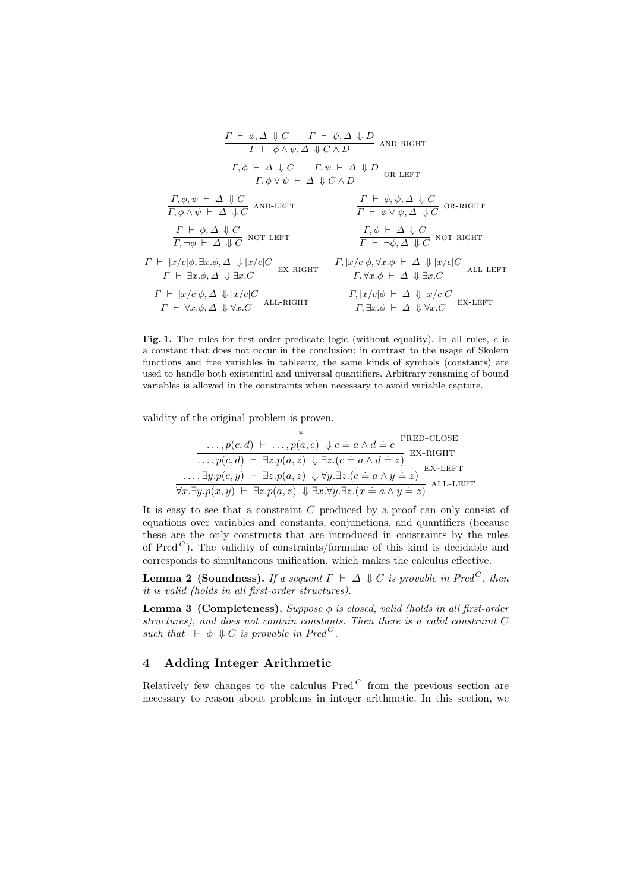$$
\frac{\Gamma \vdash \phi, \Delta \Downarrow C \qquad \Gamma \vdash \psi, \Delta \Downarrow D}{\Gamma \vdash \phi \land \psi, \Delta \Downarrow C \land D} \quad \text{and-right}
$$
\n
$$
\frac{\Gamma, \phi \vdash \Delta \Downarrow C \qquad \Gamma, \psi \vdash \Delta \Downarrow D}{\Gamma, \phi \lor \psi \vdash \Delta \Downarrow C \land D} \quad \text{on-LEFT}
$$
\n
$$
\frac{\Gamma, \phi, \psi \vdash \Delta \Downarrow C}{\Gamma, \phi \land \psi \vdash \Delta \Downarrow C} \quad \text{and-left}
$$
\n
$$
\frac{\Gamma \vdash \phi, \psi, \Delta \Downarrow C}{\Gamma \vdash \phi \lor \psi, \Delta \Downarrow C} \quad \text{on-right}
$$
\n
$$
\frac{\Gamma \vdash \phi, \Delta \Downarrow C}{\Gamma \vdash \phi \lor \psi, \Delta \Downarrow C} \quad \text{on-right}
$$
\n
$$
\frac{\Gamma \vdash \phi, \Delta \Downarrow C}{\Gamma \vdash \neg \phi, \Delta \Downarrow C} \quad \text{not-left}
$$
\n
$$
\frac{\Gamma, \phi \vdash \Delta \Downarrow C}{\Gamma \vdash \neg \phi, \Delta \Downarrow C} \quad \text{not-right}
$$
\n
$$
\frac{\Gamma, [\frac{x}{c}|\phi, \forall x, \phi \vdash \Delta \Downarrow \text{for}}{\Gamma \vdash \neg \phi, \Delta \Downarrow \text{for}} \quad \text{in} \quad \frac{\Gamma, [\frac{x}{c}|\phi, \forall x, \phi \vdash \Delta \Downarrow [\frac{x}{c}]C}{\Gamma, \forall x, \phi \vdash \Delta \Downarrow \text{in} \cdot \text{for}}}{\Gamma, \exists x. \phi, \Delta \Downarrow [\frac{x}{c}]C} \quad \text{all-Right}
$$
\n
$$
\frac{\Gamma, [\frac{x}{c}|\phi \vdash \Delta \Downarrow [\frac{x}{c}]C}{\Gamma \vdash \forall x. \phi, \Delta \Downarrow \forall x. C} \quad \text{all-Right}
$$
\n
$$
\frac{\Gamma, [\frac{x}{c}|\phi \vdash \Delta \Downarrow [\frac{x}{c}]C}{\Gamma, \exists x. \phi \vdash \Delta \Downarrow \text{in} \cdot \text{for}}}{\Gamma, \exists x. \phi \vdash \Delta \Downarrow \text{in} \cdot \text{in} \cdot \text{in} \cdot \text{in} \cdot \text{in} \
$$

Fig. 1. The rules for first-order predicate logic (without equality). In all rules,  $c$  is a constant that does not occur in the conclusion: in contrast to the usage of Skolem functions and free variables in tableaux, the same kinds of symbols (constants) are used to handle both existential and universal quantifiers. Arbitrary renaming of bound variables is allowed in the constraints when necessary to avoid variable capture.

validity of the original problem is proven.

$$
\begin{array}{c}\n \overbrace{\ldots, p(c,d) \vdash \ldots, p(a,e) \Downarrow c = a \land d = e}^{*} \text{PRED-CLOSE} \\
 \overbrace{\ldots, p(c,d) \vdash \exists z. p(a,z) \Downarrow \exists z. (c = a \land d = z)}^{*} \text{EX-RIGHT} \\
 \overbrace{\ldots, \exists y. p(c,y) \vdash \exists z. p(a,z) \Downarrow \forall y. \exists z. (c = a \land y = z)}^{*} \text{EX-LEFT} \\
 \overbrace{\forall x. \exists y. p(x,y) \vdash \exists z. p(a,z) \Downarrow \exists x. \forall y. \exists z. (x = a \land y = z)}^{*} \text{ALL-LEFT} \\
 \end{array}
$$

It is easy to see that a constraint  $C$  produced by a proof can only consist of equations over variables and constants, conjunctions, and quantifiers (because these are the only constructs that are introduced in constraints by the rules of Pred<sup> $C$ </sup>). The validity of constraints/formulae of this kind is decidable and corresponds to simultaneous unification, which makes the calculus effective.

**Lemma 2 (Soundness).** If a sequent  $\Gamma \vdash \Delta \Downarrow C$  is provable in Pred<sup>C</sup>, then it is valid (holds in all first-order structures).

**Lemma 3 (Completeness).** Suppose  $\phi$  is closed, valid (holds in all first-order structures), and does not contain constants. Then there is a valid constraint C such that  $\vdash \phi \Downarrow C$  is provable in Pred<sup>C</sup>.

## 4 Adding Integer Arithmetic

Relatively few changes to the calculus  $Pred<sup>C</sup>$  from the previous section are necessary to reason about problems in integer arithmetic. In this section, we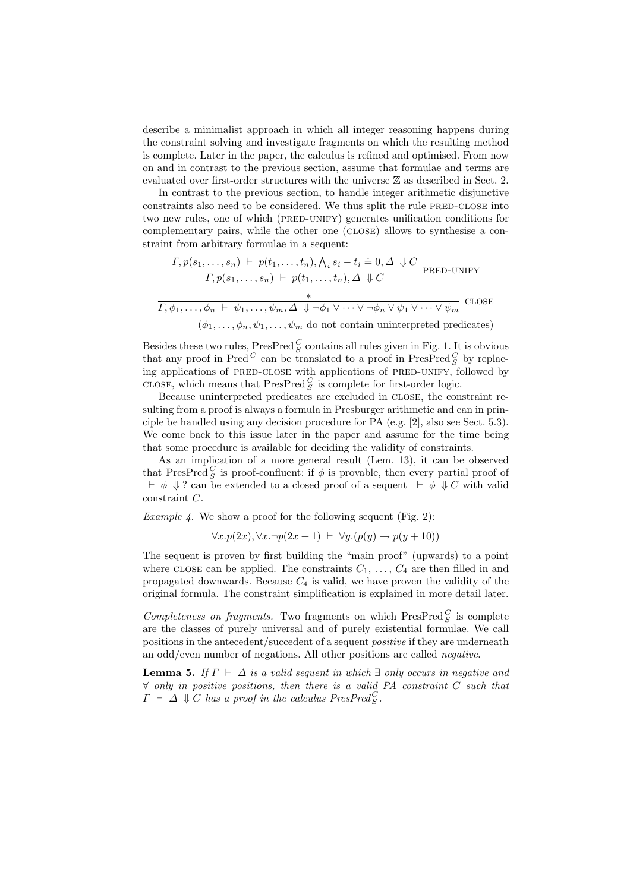describe a minimalist approach in which all integer reasoning happens during the constraint solving and investigate fragments on which the resulting method is complete. Later in the paper, the calculus is refined and optimised. From now on and in contrast to the previous section, assume that formulae and terms are evaluated over first-order structures with the universe Z as described in Sect. 2.

In contrast to the previous section, to handle integer arithmetic disjunctive constraints also need to be considered. We thus split the rule PRED-CLOSE into two new rules, one of which (PRED-UNIFY) generates unification conditions for complementary pairs, while the other one (close) allows to synthesise a constraint from arbitrary formulae in a sequent:

$$
\frac{\Gamma, p(s_1, \ldots, s_n) \vdash p(t_1, \ldots, t_n), \bigwedge_i s_i - t_i \doteq 0, \Delta \Downarrow C}{\Gamma, p(s_1, \ldots, s_n) \vdash p(t_1, \ldots, t_n), \Delta \Downarrow C} \text{PRED-UNIFY}
$$
\n
$$
\frac{*}{\Gamma, \phi_1, \ldots, \phi_n \vdash \psi_1, \ldots, \psi_m, \Delta \Downarrow \neg \phi_1 \vee \cdots \vee \neg \phi_n \vee \psi_1 \vee \cdots \vee \psi_m} \text{CLOSE}
$$
\n
$$
(\phi_1, \ldots, \phi_n, \psi_1, \ldots, \psi_m \text{ do not contain uninterpreted predicates})
$$

Besides these two rules,  $PreSPred_S^C$  contains all rules given in Fig. 1. It is obvious that any proof in Pred<sup> $C$ </sup> can be translated to a proof in PresPred $\frac{C}{S}$  by replacing applications of PRED-CLOSE with applications of PRED-UNIFY, followed by CLOSE, which means that  $\mathop{\rm PresPred}\nolimits_S^C$  is complete for first-order logic.

Because uninterpreted predicates are excluded in close, the constraint resulting from a proof is always a formula in Presburger arithmetic and can in principle be handled using any decision procedure for PA (e.g. [2], also see Sect. 5.3). We come back to this issue later in the paper and assume for the time being that some procedure is available for deciding the validity of constraints.

As an implication of a more general result (Lem. 13), it can be observed that PresPred  $_G^C$  is proof-confluent: if  $\phi$  is provable, then every partial proof of  $\vdash \phi \Downarrow ?$  can be extended to a closed proof of a sequent  $\vdash \phi \Downarrow C$  with valid constraint C.

*Example 4.* We show a proof for the following sequent (Fig. 2):

$$
\forall x. p(2x), \forall x. \neg p(2x+1) \vdash \forall y. (p(y) \rightarrow p(y+10))
$$

The sequent is proven by first building the "main proof" (upwards) to a point where CLOSE can be applied. The constraints  $C_1, \ldots, C_4$  are then filled in and propagated downwards. Because  $C_4$  is valid, we have proven the validity of the original formula. The constraint simplification is explained in more detail later.

Completeness on fragments. Two fragments on which  ${\rm PresPred\,}_S^C$  is complete are the classes of purely universal and of purely existential formulae. We call positions in the antecedent/succedent of a sequent positive if they are underneath an odd/even number of negations. All other positions are called negative.

**Lemma 5.** If  $\Gamma \vdash \Delta$  is a valid sequent in which  $\exists$  only occurs in negative and  $\forall$  only in positive positions, then there is a valid PA constraint C such that  $\Gamma \vdash \Delta \Downarrow C$  has a proof in the calculus PresPred<sup>C</sup><sub>S</sub>.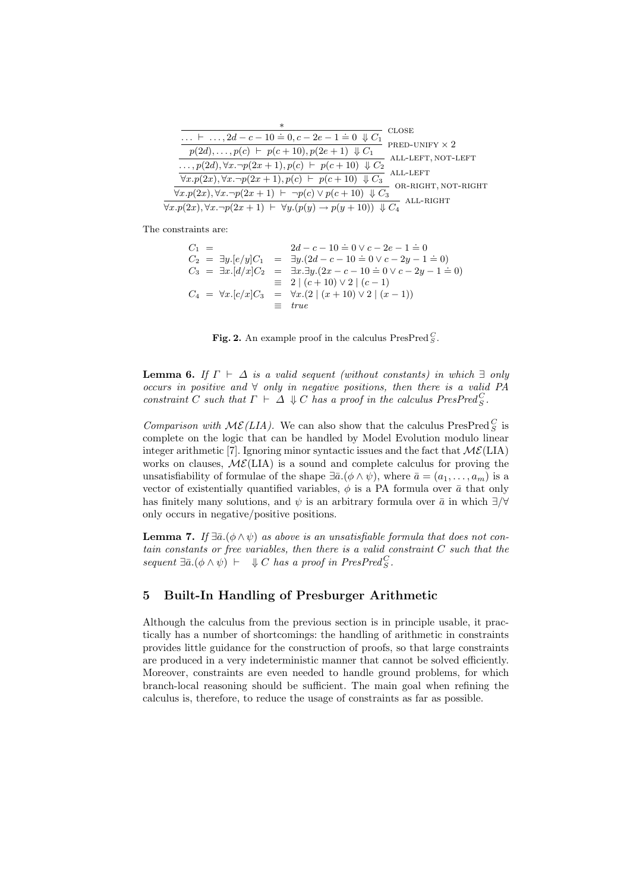| $\ast$                                                                                                  |                       |
|---------------------------------------------------------------------------------------------------------|-----------------------|
| $\vdash \ldots, 2d - c - 10 = 0, c - 2e - 1 = 0 \Downarrow C_1$                                         | <b>CLOSE</b>          |
| $p(2d), \ldots, p(c) \vdash p(c+10), p(2e+1) \Downarrow C_1$                                            | PRED-UNIFY $\times$ 2 |
|                                                                                                         | ALL-LEFT, NOT-LEFT    |
| , $p(2d)$ , ∀x. ¬ $p(2x + 1)$ , $p(c)$ ⊢ $p(c + 10)$ ↓ $C_2$                                            |                       |
| $\forall x. p(2x), \forall x. \neg p(2x+1), p(c) \vdash p(c+10) \Downarrow C_3$                         | ALL-LEFT              |
| $\forall x. p(2x), \forall x. \neg p(2x+1) \vdash \neg p(c) \vee p(c+10) \Downarrow C_3$                | OR-RIGHT, NOT-RIGHT   |
|                                                                                                         | ALL-RIGHT             |
| $\forall x. p(2x), \forall x. \neg p(2x+1) \vdash \forall y. (p(y) \rightarrow p(y+10)) \Downarrow C_4$ |                       |

The constraints are:

$$
C_1 = 2d - c - 10 = 0 \lor c - 2e - 1 = 0
$$
  
\n
$$
C_2 = \exists y.[e/y]C_1 = \exists y.(2d - c - 10 = 0 \lor c - 2y - 1 = 0)
$$
  
\n
$$
C_3 = \exists x.[d/x]C_2 = \exists x.\exists y.(2x - c - 10 = 0 \lor c - 2y - 1 = 0)
$$
  
\n
$$
= 2 | (c + 10) \lor 2 | (c - 1)
$$
  
\n
$$
C_4 = \forall x.[c/x]C_3 = \forall x.(2 | (x + 10) \lor 2 | (x - 1))
$$
  
\n
$$
= true
$$

Fig. 2. An example proof in the calculus PresPred $^C_S$ .

**Lemma 6.** If  $\Gamma \vdash \Delta$  is a valid sequent (without constants) in which  $\exists$  only occurs in positive and  $\forall$  only in negative positions, then there is a valid PA constraint C such that  $\Gamma \vdash \Delta \Downarrow C$  has a proof in the calculus  $PresPred^C_S$ .

Comparison with  $M\mathcal{E}(LIA)$ . We can also show that the calculus PresPred<sup>C</sup><sub>S</sub> is complete on the logic that can be handled by Model Evolution modulo linear integer arithmetic [7]. Ignoring minor syntactic issues and the fact that  $\mathcal{ME}(\text{LIA})$ works on clauses,  $M\mathcal{E}(LIA)$  is a sound and complete calculus for proving the unsatisfiability of formulae of the shape  $\exists \bar{a}. (\phi \wedge \psi)$ , where  $\bar{a} = (a_1, \ldots, a_m)$  is a vector of existentially quantified variables,  $\phi$  is a PA formula over  $\bar{a}$  that only has finitely many solutions, and  $\psi$  is an arbitrary formula over  $\bar{a}$  in which  $\exists/\forall$ only occurs in negative/positive positions.

**Lemma 7.** If  $\exists \bar{a}. (\phi \land \psi)$  as above is an unsatisfiable formula that does not contain constants or free variables, then there is a valid constraint C such that the sequent  $\exists \bar{a}.(\phi \land \psi) \vdash \Downarrow C$  has a proof in PresPred<sup>C</sup><sub>S</sub>.

### 5 Built-In Handling of Presburger Arithmetic

Although the calculus from the previous section is in principle usable, it practically has a number of shortcomings: the handling of arithmetic in constraints provides little guidance for the construction of proofs, so that large constraints are produced in a very indeterministic manner that cannot be solved efficiently. Moreover, constraints are even needed to handle ground problems, for which branch-local reasoning should be sufficient. The main goal when refining the calculus is, therefore, to reduce the usage of constraints as far as possible.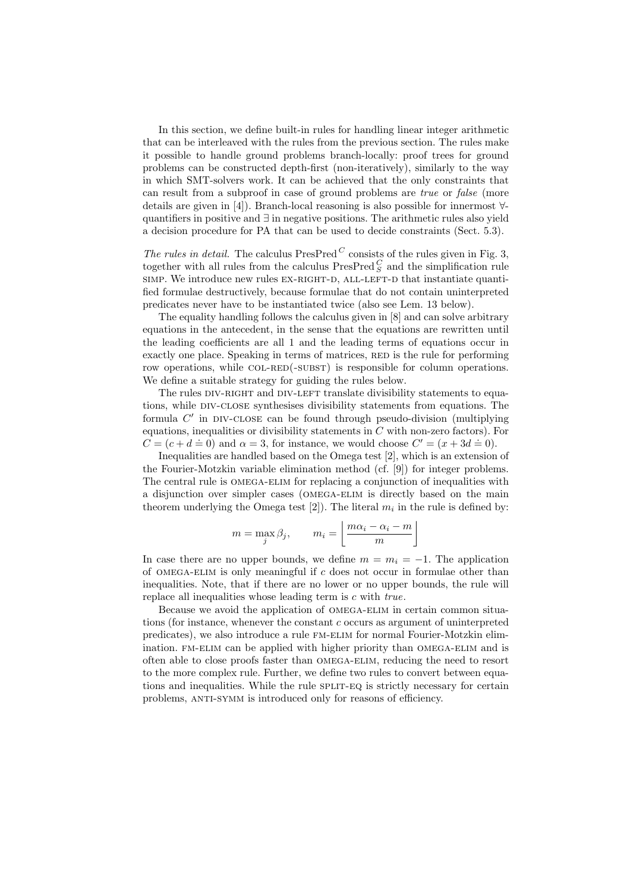In this section, we define built-in rules for handling linear integer arithmetic that can be interleaved with the rules from the previous section. The rules make it possible to handle ground problems branch-locally: proof trees for ground problems can be constructed depth-first (non-iteratively), similarly to the way in which SMT-solvers work. It can be achieved that the only constraints that can result from a subproof in case of ground problems are true or false (more details are given in [4]). Branch-local reasoning is also possible for innermost ∀ quantifiers in positive and ∃ in negative positions. The arithmetic rules also yield a decision procedure for PA that can be used to decide constraints (Sect. 5.3).

The rules in detail. The calculus  $PresPred^C$  consists of the rules given in Fig. 3, together with all rules from the calculus  ${\rm PresPred\,}_S^C$  and the simplification rule simp. We introduce new rules EX-RIGHT-D, ALL-LEFT-D that instantiate quantified formulae destructively, because formulae that do not contain uninterpreted predicates never have to be instantiated twice (also see Lem. 13 below).

The equality handling follows the calculus given in [8] and can solve arbitrary equations in the antecedent, in the sense that the equations are rewritten until the leading coefficients are all 1 and the leading terms of equations occur in exactly one place. Speaking in terms of matrices, RED is the rule for performing row operations, while  $COL-RED(-SUBST)$  is responsible for column operations. We define a suitable strategy for guiding the rules below.

The rules DIV-RIGHT and DIV-LEFT translate divisibility statements to equations, while div-close synthesises divisibility statements from equations. The formula  $C'$  in DIV-CLOSE can be found through pseudo-division (multiplying equations, inequalities or divisibility statements in  $C$  with non-zero factors). For  $C = (c + d \doteq 0)$  and  $\alpha = 3$ , for instance, we would choose  $C' = (x + 3d \doteq 0)$ .

Inequalities are handled based on the Omega test [2], which is an extension of the Fourier-Motzkin variable elimination method (cf. [9]) for integer problems. The central rule is omega-elim for replacing a conjunction of inequalities with a disjunction over simpler cases (omega-elim is directly based on the main theorem underlying the Omega test [2]). The literal  $m_i$  in the rule is defined by:

$$
m = \max_{j} \beta_j, \qquad m_i = \left\lfloor \frac{m\alpha_i - \alpha_i - m}{m} \right\rfloor
$$

In case there are no upper bounds, we define  $m = m_i = -1$ . The application of OMEGA-ELIM is only meaningful if  $c$  does not occur in formulae other than inequalities. Note, that if there are no lower or no upper bounds, the rule will replace all inequalities whose leading term is c with true.

Because we avoid the application of omega-elim in certain common situations (for instance, whenever the constant c occurs as argument of uninterpreted predicates), we also introduce a rule fm-elim for normal Fourier-Motzkin elimination. fm-elim can be applied with higher priority than omega-elim and is often able to close proofs faster than omega-elim, reducing the need to resort to the more complex rule. Further, we define two rules to convert between equations and inequalities. While the rule split-eq is strictly necessary for certain problems, anti-symm is introduced only for reasons of efficiency.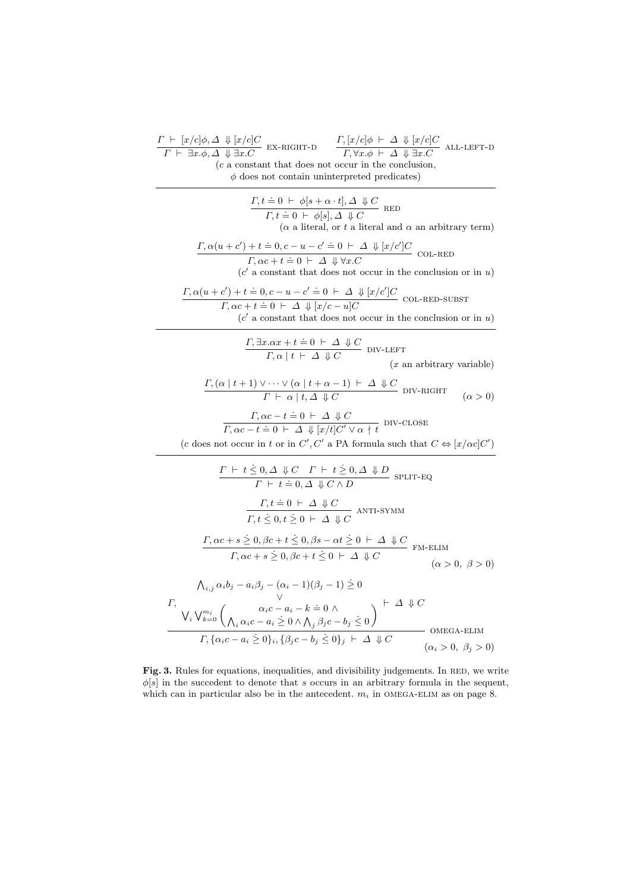$$
\frac{\Gamma \vdash t \leq 0, \Delta \Downarrow C \quad \Gamma \vdash t \geq 0, \Delta \Downarrow D \quad \text{SPLIT-EQ}}{\Gamma \vdash t \stackrel{.}{=} 0, \Delta \Downarrow C \land D} \quad \text{SPLIT-EQ}
$$
\n
$$
\frac{\Gamma, t \stackrel{.}{=} 0 \vdash \Delta \Downarrow C}{\Gamma, t \leq 0, t \geq 0 \vdash \Delta \Downarrow C} \quad \text{ANT-SYMM}
$$
\n
$$
\frac{\Gamma, \alpha c + s \geq 0, \beta c + t \leq 0, \beta s - \alpha t \geq 0 \vdash \Delta \Downarrow C}{\Gamma, \alpha c + s \geq 0, \beta c + t \leq 0 \vdash \Delta \Downarrow C} \quad \text{FM-ELIM} \quad (\alpha > 0, \beta > 0)
$$
\n
$$
\begin{array}{c}\n\Lambda_{i,j} \alpha_i b_j - a_i \beta_j - (\alpha_i - 1)(\beta_j - 1) \geq 0 \\
\frac{\vee}{\sqrt{\Gamma, \Delta_{i,j} \cdot \Delta_{i,j} \cdot \Delta_{i,j} \cdot \Delta_{i,j} \cdot \Delta_{i,j} \cdot \Delta_{i,j} \cdot \Delta_{i,j} \cdot \Delta_{i,j} \cdot \Delta_{i,j} \cdot \Delta_{i,j} \cdot \Delta_{i,j} \cdot \Delta_{i,j} \cdot \Delta_{i,j} \cdot \Delta_{i,j} \cdot \Delta_{i,j} \cdot \Delta_{i,j} \cdot \Delta_{i,j} \cdot \Delta_{i,j} \cdot \Delta_{i,j} \cdot \Delta_{i,j} \cdot \Delta_{i,j} \cdot \Delta_{i,j} \cdot \Delta_{i,j} \cdot \Delta_{i,j} \cdot \Delta_{i,j} \cdot \Delta_{i,j} \cdot \Delta_{i,j} \cdot \Delta_{i,j} \cdot \Delta_{i,j} \cdot \Delta_{i,j} \cdot \Delta_{i,j} \cdot \Delta_{i,j} \cdot \Delta_{i,j} \cdot \Delta_{i,j} \cdot \Delta_{i,j} \cdot \Delta_{i,j} \cdot \Delta_{i,j} \cdot \Delta_{i,j} \cdot \Delta_{i,j} \cdot \Delta_{i,j} \cdot \Delta_{i,j} \cdot \Delta_{i,j} \cdot \Delta_{i,j} \cdot \Delta_{i,j} \cdot \Delta_{i,j} \cdot \Delta_{i,j} \cdot \Delta_{i,j} \cdot \Delta_{i,j} \cdot \Delta_{i,j} \cdot \Delta_{i,j} \cdot \Delta_{i,j} \cdot \Delta_{i,j} \cdot \Delta_{
$$

Fig. 3. Rules for equations, inequalities, and divisibility judgements. In RED, we write  $\phi[s]$  in the succedent to denote that s occurs in an arbitrary formula in the sequent, which can in particular also be in the antecedent.  $m_i$  in OMEGA-ELIM as on page 8.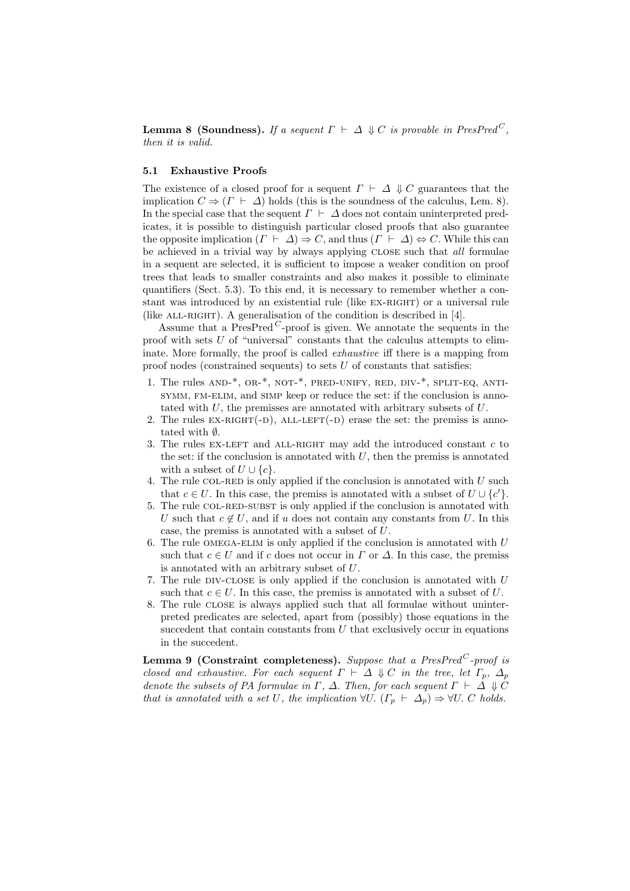**Lemma 8 (Soundness).** If a sequent  $\Gamma \vdash \Delta \Downarrow C$  is provable in PresPred<sup>C</sup>, then it is valid.

#### 5.1 Exhaustive Proofs

The existence of a closed proof for a sequent  $\Gamma \vdash \Delta \Downarrow C$  guarantees that the implication  $C \Rightarrow (\Gamma \vdash \Delta)$  holds (this is the soundness of the calculus, Lem. 8). In the special case that the sequent  $\Gamma \vdash \Delta$  does not contain uninterpreted predicates, it is possible to distinguish particular closed proofs that also guarantee the opposite implication  $(\Gamma \vdash \Delta) \Rightarrow C$ , and thus  $(\Gamma \vdash \Delta) \Leftrightarrow C$ . While this can be achieved in a trivial way by always applying CLOSE such that *all* formulae in a sequent are selected, it is sufficient to impose a weaker condition on proof trees that leads to smaller constraints and also makes it possible to eliminate quantifiers (Sect. 5.3). To this end, it is necessary to remember whether a constant was introduced by an existential rule (like ex-right) or a universal rule (like  $ALL-RIGHT$ ). A generalisation of the condition is described in [4].

Assume that a PresPred<sup>C</sup>-proof is given. We annotate the sequents in the proof with sets  $U$  of "universal" constants that the calculus attempts to eliminate. More formally, the proof is called *exhaustive* iff there is a mapping from proof nodes (constrained sequents) to sets  $U$  of constants that satisfies:

- 1. The rules AND-\*, OR-\*, NOT-\*, PRED-UNIFY, RED, DIV-\*, SPLIT-EQ, ANTIsymm, fm-elim, and simp keep or reduce the set: if the conclusion is annotated with U, the premisses are annotated with arbitrary subsets of U.
- 2. The rules  $EX-RIGHT(-D)$ , ALL-LEFT $(-D)$  erase the set: the premiss is annotated with ∅.
- 3. The rules EX-LEFT and ALL-RIGHT may add the introduced constant  $c$  to the set: if the conclusion is annotated with  $U$ , then the premiss is annotated with a subset of  $U \cup \{c\}$ .
- 4. The rule COL-RED is only applied if the conclusion is annotated with  $U$  such that  $c \in U$ . In this case, the premiss is annotated with a subset of  $U \cup \{c'\}.$
- 5. The rule COL-RED-SUBST is only applied if the conclusion is annotated with U such that  $c \notin U$ , and if u does not contain any constants from U. In this case, the premiss is annotated with a subset of U.
- 6. The rule OMEGA-ELIM is only applied if the conclusion is annotated with  $U$ such that  $c \in U$  and if c does not occur in  $\Gamma$  or  $\Delta$ . In this case, the premiss is annotated with an arbitrary subset of U.
- 7. The rule DIV-CLOSE is only applied if the conclusion is annotated with  $U$ such that  $c \in U$ . In this case, the premiss is annotated with a subset of U.
- 8. The rule close is always applied such that all formulae without uninterpreted predicates are selected, apart from (possibly) those equations in the succedent that contain constants from  $U$  that exclusively occur in equations in the succedent.

Lemma 9 (Constraint completeness). Suppose that a PresPred<sup>C</sup>-proof is closed and exhaustive. For each sequent  $\Gamma \vdash \Delta \Downarrow C$  in the tree, let  $\Gamma_p$ ,  $\Delta_p$ denote the subsets of PA formulae in  $\Gamma$ ,  $\Delta$ . Then, for each sequent  $\Gamma \vdash \Delta \Downarrow C$ that is annotated with a set U, the implication  $\forall U$ .  $(\Gamma_p \vdash \Delta_p) \Rightarrow \forall U$ . C holds.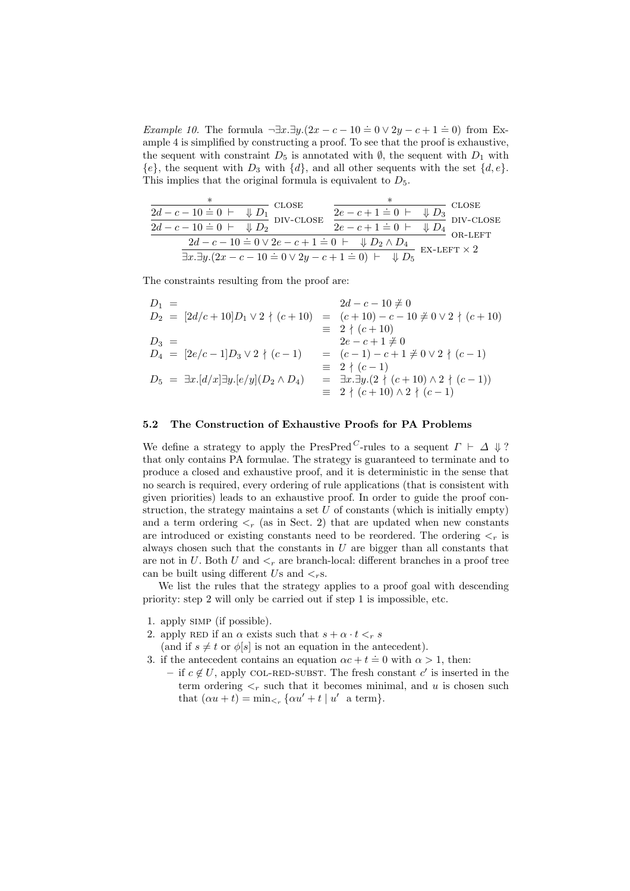Example 10. The formula  $\neg \exists x \, . \exists y \, . (2x - c - 10 \doteq 0 \vee 2y - c + 1 \doteq 0)$  from Example 4 is simplified by constructing a proof. To see that the proof is exhaustive, the sequent with constraint  $D_5$  is annotated with  $\emptyset$ , the sequent with  $D_1$  with  ${e}$ , the sequent with  $D_3$  with  ${d}$ , and all other sequents with the set  ${d, e}$ . This implies that the original formula is equivalent to  $D_5$ .

| <b>CLOSE</b><br>$\frac{2d-c-10=0 \, \vdash \, \psi D_1}{2d-c-10=0 \, \vdash \, \psi D_2} \, \overset{\mathbf{C}}{\mathbf{D}}$<br>$-$ DIV-CLOSE                              | $\frac{2e-c+1=0 \not\;\vdash \;\;\Downarrow D_3}{2e-c+1=0 \not\;\vdash \;\;\Downarrow D_4}$ DIV-CLOSF<br>OR-LEFT | <b>CLOSE</b>         |
|-----------------------------------------------------------------------------------------------------------------------------------------------------------------------------|------------------------------------------------------------------------------------------------------------------|----------------------|
| $\overline{2d-c-10 \doteq 0} \vee 2e-c+1 \doteq 0 \vdash \psi D_2 \wedge D_4$<br>$\frac{1}{2x \cdot 3y \cdot (2x - c - 10 \doteq 0 \vee 2y - c + 1 \doteq 0) + \sqrt{D_5}}$ |                                                                                                                  | - EX-LEFT $\times$ 2 |

The constraints resulting from the proof are:

| $D_1 =$                                                      | $2d - c - 10 \neq 0$                                            |
|--------------------------------------------------------------|-----------------------------------------------------------------|
| $D_2 = [2d/c + 10]D_1 \vee 2 \nmid (c + 10)$                 | $=$ $(c+10) - c - 10 \neq 0 \vee 2 \nmid (c+10)$                |
|                                                              | $\equiv$ 2 $\langle$ (c + 10)                                   |
| $D_3 =$                                                      | $2e - c + 1 \neq 0$                                             |
| $D_4 = [2e/c-1]D_3 \vee 2 \nmid (c-1)$                       | $=$ $(c-1)-c+1 \neq 0 \vee 2 \nmid (c-1)$                       |
| $\equiv 2 \nmid (c-1)$                                       |                                                                 |
| $D_5 = \exists x . [d/x] \exists y . [e/y] (D_2 \wedge D_4)$ | $= \exists x. \exists y. (2 \nmid (c+10) \wedge 2 \nmid (c-1))$ |
|                                                              | $\equiv$ 2 $\langle (c+10) \wedge 2 \rangle (c-1)$              |

#### 5.2 The Construction of Exhaustive Proofs for PA Problems

We define a strategy to apply the PresPred<sup>C</sup>-rules to a sequent  $\Gamma \vdash \Delta \Downarrow ?$ that only contains PA formulae. The strategy is guaranteed to terminate and to produce a closed and exhaustive proof, and it is deterministic in the sense that no search is required, every ordering of rule applications (that is consistent with given priorities) leads to an exhaustive proof. In order to guide the proof construction, the strategy maintains a set  $U$  of constants (which is initially empty) and a term ordering  $\leq_r$  (as in Sect. 2) that are updated when new constants are introduced or existing constants need to be reordered. The ordering  $\lt_r$  is always chosen such that the constants in  $U$  are bigger than all constants that are not in U. Both U and  $\lt_r$  are branch-local: different branches in a proof tree can be built using different Us and  $\lt_r$ s.

We list the rules that the strategy applies to a proof goal with descending priority: step 2 will only be carried out if step 1 is impossible, etc.

- 1. apply simp (if possible).
- 2. apply RED if an  $\alpha$  exists such that  $s + \alpha \cdot t <_r s$
- (and if  $s \neq t$  or  $\phi[s]$  is not an equation in the antecedent).
- 3. if the antecedent contains an equation  $\alpha c + t = 0$  with  $\alpha > 1$ , then:
	- if  $c \notin U$ , apply COL-RED-SUBST. The fresh constant  $c'$  is inserted in the term ordering  $\leq_r$  such that it becomes minimal, and u is chosen such that  $(\alpha u + t) = \min_{\leq r} {\alpha u' + t | u' \text{ a term}}.$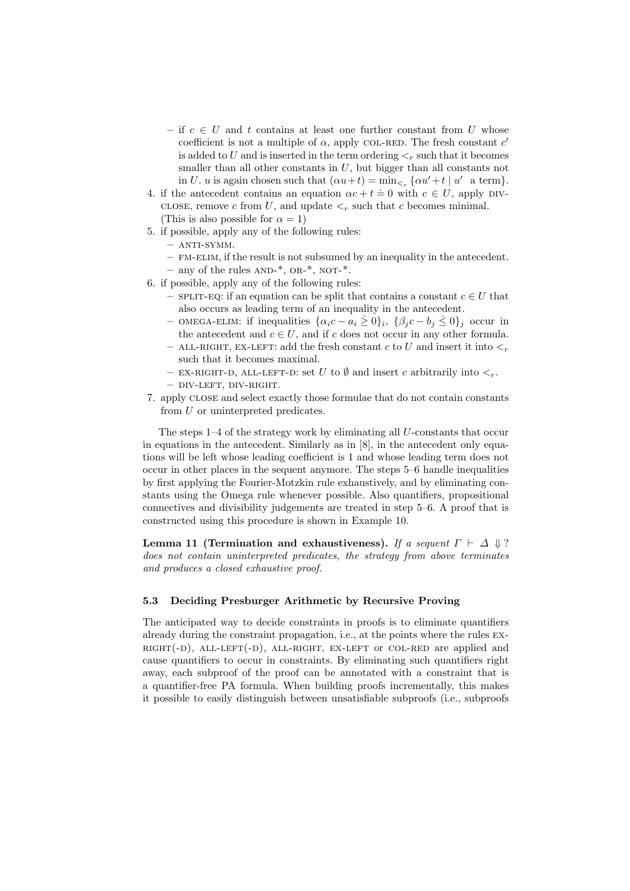- if  $c \in U$  and t contains at least one further constant from U whose coefficient is not a multiple of  $\alpha$ , apply COL-RED. The fresh constant  $c'$ is added to U and is inserted in the term ordering  $\lt_r$  such that it becomes smaller than all other constants in  $U$ , but bigger than all constants not in U. u is again chosen such that  $(\alpha u + t) = \min_{\leq r} {\alpha u' + t \mid u' \text{ a term}}$ .
- 4. if the antecedent contains an equation  $\alpha c + t = 0$  with  $c \in U$ , apply DIVclose, remove c from U, and update  $\lt_r$  such that c becomes minimal. (This is also possible for  $\alpha = 1$ )
- 5. if possible, apply any of the following rules:
	- $-$  ANTI-SYMM.
	- fm-elim, if the result is not subsumed by an inequality in the antecedent. – any of the rules  $AND-*$ ,  $OR-*$ ,  $NOT-*$ .
- 6. if possible, apply any of the following rules:
	- SPLIT-EQ: if an equation can be split that contains a constant  $c \in U$  that also occurs as leading term of an inequality in the antecedent.
	- also occurs as reading term of an inequality in the antecedent.<br>  $\{\alpha_i c a_i \geq 0\}_i$ ,  $\{\beta_j c b_j \leq 0\}_j$  occur in the antecedent and  $c \in U$ , and if c does not occur in any other formula.
	- ALL-RIGHT, EX-LEFT: add the fresh constant c to U and insert it into  $\lt_r$ such that it becomes maximal.
	- EX-RIGHT-D, ALL-LEFT-D: set U to  $\emptyset$  and insert c arbitrarily into  $\lt_r$ .
	- div-left, div-right.
- 7. apply close and select exactly those formulae that do not contain constants from U or uninterpreted predicates.

The steps  $1-4$  of the strategy work by eliminating all  $U$ -constants that occur in equations in the antecedent. Similarly as in [8], in the antecedent only equations will be left whose leading coefficient is 1 and whose leading term does not occur in other places in the sequent anymore. The steps 5–6 handle inequalities by first applying the Fourier-Motzkin rule exhaustively, and by eliminating constants using the Omega rule whenever possible. Also quantifiers, propositional connectives and divisibility judgements are treated in step 5–6. A proof that is constructed using this procedure is shown in Example 10.

Lemma 11 (Termination and exhaustiveness). If a sequent  $\Gamma \vdash \Delta \Downarrow ?$ does not contain uninterpreted predicates, the strategy from above terminates and produces a closed exhaustive proof.

#### 5.3 Deciding Presburger Arithmetic by Recursive Proving

The anticipated way to decide constraints in proofs is to eliminate quantifiers already during the constraint propagation, i.e., at the points where the rules ex- $RIGHT(-D)$ , ALL-LEFT $(-D)$ , ALL-RIGHT, EX-LEFT or COL-RED are applied and cause quantifiers to occur in constraints. By eliminating such quantifiers right away, each subproof of the proof can be annotated with a constraint that is a quantifier-free PA formula. When building proofs incrementally, this makes it possible to easily distinguish between unsatisfiable subproofs (i.e., subproofs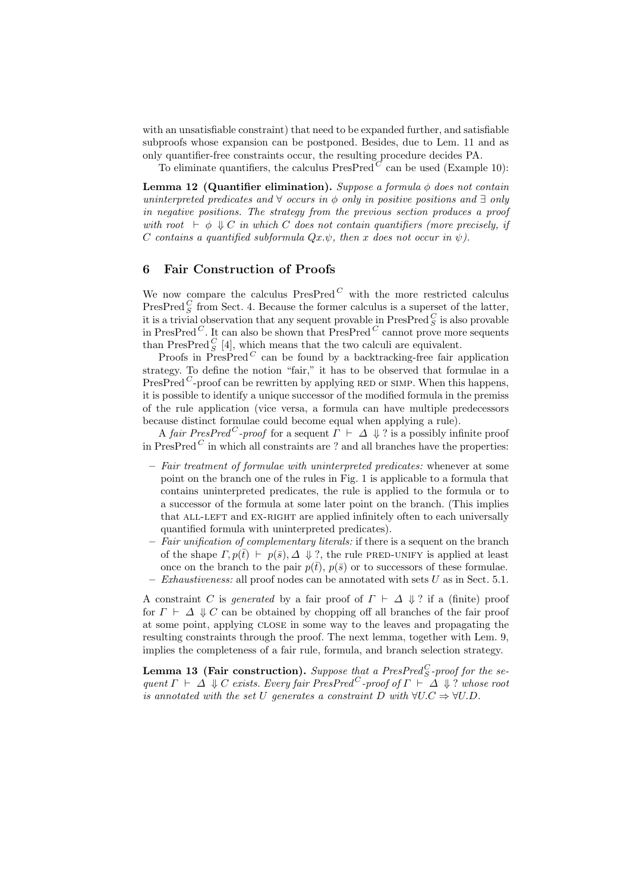with an unsatisfiable constraint) that need to be expanded further, and satisfiable subproofs whose expansion can be postponed. Besides, due to Lem. 11 and as only quantifier-free constraints occur, the resulting procedure decides PA.

To eliminate quantifiers, the calculus  $PresPred^{\overrightarrow{C}}$  can be used (Example 10):

Lemma 12 (Quantifier elimination). Suppose a formula  $\phi$  does not contain uninterpreted predicates and  $\forall$  occurs in  $\phi$  only in positive positions and  $\exists$  only in negative positions. The strategy from the previous section produces a proof with root  $\vdash \phi \Downarrow C$  in which C does not contain quantifiers (more precisely, if C contains a quantified subformula  $Qx.\psi$ , then x does not occur in  $\psi$ ).

#### 6 Fair Construction of Proofs

We now compare the calculus  $PresPred^C$  with the more restricted calculus PresPred  $_S^C$  from Sect. 4. Because the former calculus is a superset of the latter, it is a trivial observation that any sequent provable in  $\mathrm{PresPred}\xspace^C_S$  is also provable in PresPred<sup>C</sup>. It can also be shown that PresPred<sup>C</sup> cannot prove more sequents than PresPred  $_{S}^{C}$  [4], which means that the two calculi are equivalent.

Proofs in  $\widetilde{\text{PresPred}}^C$  can be found by a backtracking-free fair application strategy. To define the notion "fair," it has to be observed that formulae in a PresPred<sup>C</sup>-proof can be rewritten by applying RED or SIMP. When this happens, it is possible to identify a unique successor of the modified formula in the premiss of the rule application (vice versa, a formula can have multiple predecessors because distinct formulae could become equal when applying a rule).

A fair PresPred<sup>C</sup>-proof for a sequent  $\overline{\Gamma} \vdash \Delta \Downarrow ?$  is a possibly infinite proof in PresPred  $C$  in which all constraints are ? and all branches have the properties:

- Fair treatment of formulae with uninterpreted predicates: whenever at some point on the branch one of the rules in Fig. 1 is applicable to a formula that contains uninterpreted predicates, the rule is applied to the formula or to a successor of the formula at some later point on the branch. (This implies that ALL-LEFT and EX-RIGHT are applied infinitely often to each universally quantified formula with uninterpreted predicates).
- $-$  Fair unification of complementary literals: if there is a sequent on the branch of the shape  $\Gamma$ ,  $p(\bar{t}) \vdash p(\bar{s}), \Delta \Downarrow ?$ , the rule PRED-UNIFY is applied at least once on the branch to the pair  $p(\bar{t})$ ,  $p(\bar{s})$  or to successors of these formulae. Exhaustiveness: all proof nodes can be annotated with sets  $U$  as in Sect. 5.1.

A constraint C is generated by a fair proof of  $\Gamma \vdash \Delta \Downarrow ?$  if a (finite) proof for  $\Gamma \vdash \Delta \Downarrow C$  can be obtained by chopping off all branches of the fair proof at some point, applying close in some way to the leaves and propagating the resulting constraints through the proof. The next lemma, together with Lem. 9, implies the completeness of a fair rule, formula, and branch selection strategy.

**Lemma 13 (Fair construction).** Suppose that a PresPred<sup>C</sup><sub>S</sub>-proof for the sequent  $\Gamma \vdash \Delta \Downarrow C$  exists. Every fair PresPred<sup>C</sup>-proof of  $\Gamma \vdash \Delta \Downarrow ?$  whose root is annotated with the set U generates a constraint D with  $\forall U.C \Rightarrow \forall U.D.$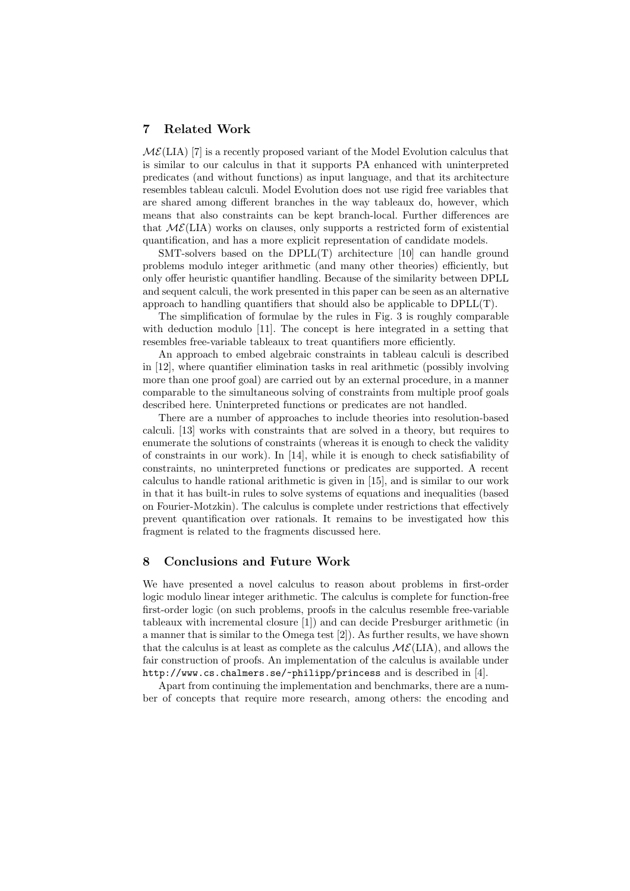## 7 Related Work

 $M\mathcal{E}(LIA)$  [7] is a recently proposed variant of the Model Evolution calculus that is similar to our calculus in that it supports PA enhanced with uninterpreted predicates (and without functions) as input language, and that its architecture resembles tableau calculi. Model Evolution does not use rigid free variables that are shared among different branches in the way tableaux do, however, which means that also constraints can be kept branch-local. Further differences are that  $M\mathcal{E}(LIA)$  works on clauses, only supports a restricted form of existential quantification, and has a more explicit representation of candidate models.

SMT-solvers based on the DPLL(T) architecture [10] can handle ground problems modulo integer arithmetic (and many other theories) efficiently, but only offer heuristic quantifier handling. Because of the similarity between DPLL and sequent calculi, the work presented in this paper can be seen as an alternative approach to handling quantifiers that should also be applicable to  $DPLL(T)$ .

The simplification of formulae by the rules in Fig. 3 is roughly comparable with deduction modulo [11]. The concept is here integrated in a setting that resembles free-variable tableaux to treat quantifiers more efficiently.

An approach to embed algebraic constraints in tableau calculi is described in [12], where quantifier elimination tasks in real arithmetic (possibly involving more than one proof goal) are carried out by an external procedure, in a manner comparable to the simultaneous solving of constraints from multiple proof goals described here. Uninterpreted functions or predicates are not handled.

There are a number of approaches to include theories into resolution-based calculi. [13] works with constraints that are solved in a theory, but requires to enumerate the solutions of constraints (whereas it is enough to check the validity of constraints in our work). In [14], while it is enough to check satisfiability of constraints, no uninterpreted functions or predicates are supported. A recent calculus to handle rational arithmetic is given in [15], and is similar to our work in that it has built-in rules to solve systems of equations and inequalities (based on Fourier-Motzkin). The calculus is complete under restrictions that effectively prevent quantification over rationals. It remains to be investigated how this fragment is related to the fragments discussed here.

## 8 Conclusions and Future Work

We have presented a novel calculus to reason about problems in first-order logic modulo linear integer arithmetic. The calculus is complete for function-free first-order logic (on such problems, proofs in the calculus resemble free-variable tableaux with incremental closure [1]) and can decide Presburger arithmetic (in a manner that is similar to the Omega test [2]). As further results, we have shown that the calculus is at least as complete as the calculus  $\mathcal{M}\mathcal{E}(LIA)$ , and allows the fair construction of proofs. An implementation of the calculus is available under http://www.cs.chalmers.se/~philipp/princess and is described in [4].

Apart from continuing the implementation and benchmarks, there are a number of concepts that require more research, among others: the encoding and